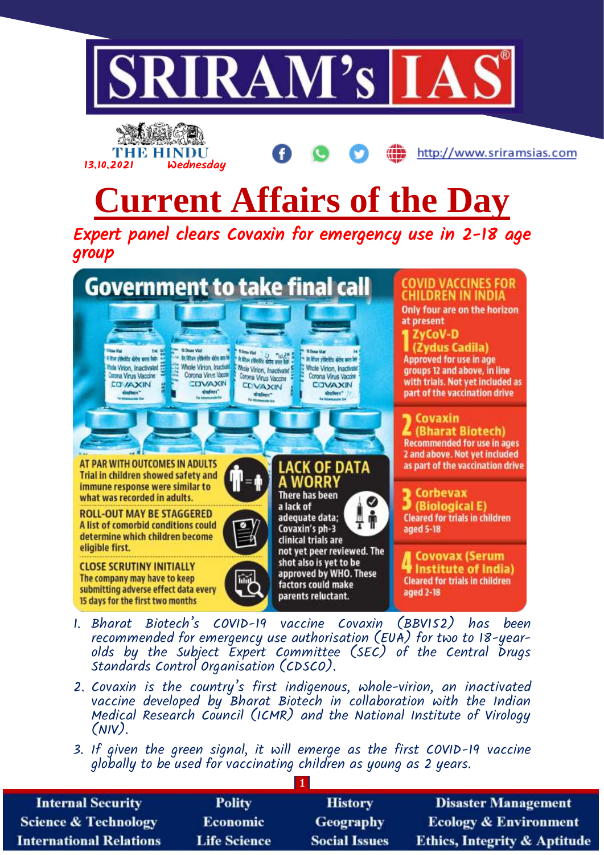



http://www.sriramsias.com

## **Current Affairs of the Day**

Expert panel clears Covaxin for emergency use in 2-18 age group



- 1. Bharat Biotech's COVID-19 vaccine Covaxin (BBV152) has been recommended for emergency use authorisation (EUA) for two to 18-yearolds by the Subject Expert Committee (SEC) of the Central Drugs Standards Control Organisation (CDSCO).
- 2. Covaxin is the country's first indigenous, whole-virion, an inactivated vaccine developed by Bharat Biotech in collaboration with the Indian Medical Research Council (ICMR) and the National Institute of Virology (NIV).
- 3. If given the green signal, it will emerge as the first COVID-19 vaccine globally to be used for vaccinating children as young as 2 years.

| <b>Internal Security</b>        | <b>Polity</b>       | <b>History</b>       | <b>Disaster Management</b>              |  |
|---------------------------------|---------------------|----------------------|-----------------------------------------|--|
| <b>Science &amp; Technology</b> | <b>Economic</b>     | Geography            | <b>Ecology &amp; Environment</b>        |  |
| <b>International Relations</b>  | <b>Life Science</b> | <b>Social Issues</b> | <b>Ethics, Integrity &amp; Aptitude</b> |  |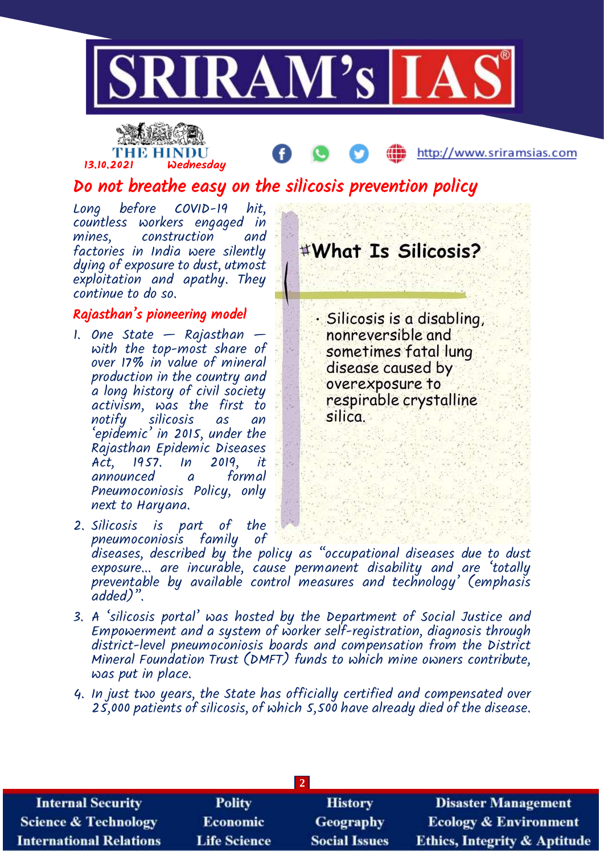

## THE HINDU 13.10.2021 Wednesday

http://www.sriramsias.com

Do not breathe easy on the silicosis prevention policy

Long before COVID-19 hit, countless workers engaged in construction and factories in India were silently dying of exposure to dust, utmost exploitation and apathy. They continue to do so.

#### Rajasthan's pioneering model

- 1. One State  $-$  Rajasthan  $$ with the top-most share of over 17% in value of mineral production in the country and a long history of civil society activism, was the first to notify silicosis as an 'epidemic' in 2015, under the Rajasthan Epidemic Diseases Act, 1957. In 2019, it announced a Pneumoconiosis Policy, only next to Haryana.
- 2. Silicosis is part of the pneumoconiosis family of

#What Is Silicosis?

· Silicosis is a disabling, nonreversible and sometimes fatal lung disease caused by overexposure to respirable crystalline silica.

diseases, described by the policy as "occupational diseases due to dust exposure... are incurable, cause permanent disability and are 'totally preventable by available control measures and technology' (emphasis added)".

- 3. A 'silicosis portal' was hosted by the Department of Social Justice and Empowerment and a system of worker self-registration, diagnosis through district-level pneumoconiosis boards and compensation from the District Mineral Foundation Trust (DMFT) funds to which mine owners contribute, was put in place.
- 4. In just two years, the State has officially certified and compensated over 25,000 patients of silicosis, of which 5,500 have already died of the disease.

| <b>Internal Security</b>        | <b>Polity</b>       | <b>History</b>       | <b>Disaster Management</b>              |  |
|---------------------------------|---------------------|----------------------|-----------------------------------------|--|
| <b>Science &amp; Technology</b> | Economic            | <b>Geography</b>     | <b>Ecology &amp; Environment</b>        |  |
| <b>International Relations</b>  | <b>Life Science</b> | <b>Social Issues</b> | <b>Ethics, Integrity &amp; Aptitude</b> |  |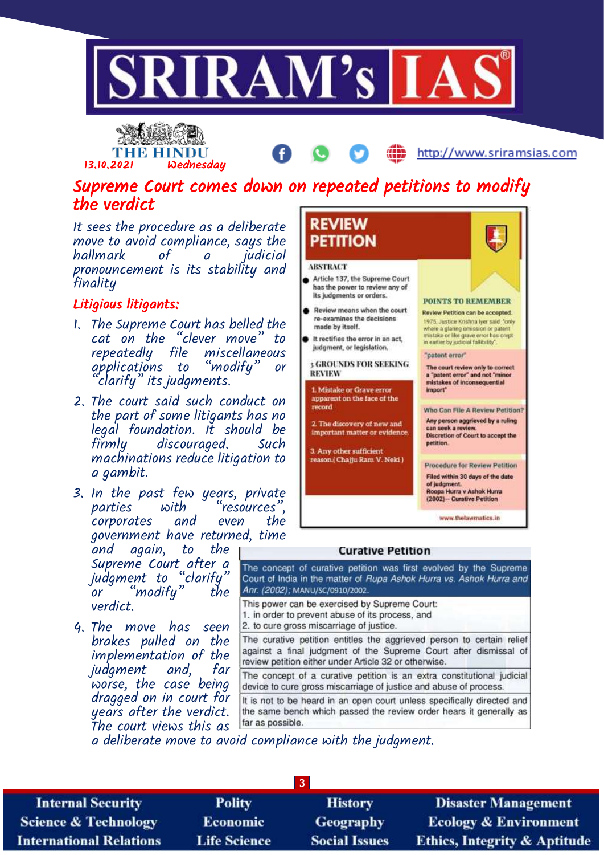



#### Supreme Court comes down on repeated petitions to modify the verdict

It sees the procedure as a deliberate move to avoid compliance, says the hallmark of a pronouncement is its stability and finality

#### Litigious litigants:

- 1. The Supreme Court has belled the cat on the "clever move" to repeatedly file miscellaneous applications to "modify" or  $^{\prime}$ clarify" its judgments.
- 2. The court said such conduct on the part of some litigants has no legal foundation. It should be discouraged. Such machinations reduce litigation to a gambit.
- 3. In the past few years, private<br>parties with "resources". "resources", corporates and even the government have returned, time

and again, to the Supreme Court after a judgment to "clarify" or "modify" the verdict.

4. The move has seen brakes pulled on the implementation of the judgment and, far worse, the case being dragged on in court for years after the verdict. The court views this as



http://www.sriramsias.com

#### **Curative Petition**

The concept of curative petition was first evolved by the Supreme Court of India in the matter of Rupa Ashok Hurra vs. Ashok Hurra and Anr. (2002); MANU/SC/0910/2002.

This power can be exercised by Supreme Court: 1. in order to prevent abuse of its process, and

2. to cure gross miscarriage of justice.

The curative petition entitles the aggrieved person to certain relief against a final judgment of the Supreme Court after dismissal of review petition either under Article 32 or otherwise.

The concept of a curative petition is an extra constitutional judicial device to cure gross miscarriage of justice and abuse of process.

It is not to be heard in an open court unless specifically directed and the same bench which passed the review order hears it generally as far as possible.

a deliberate move to avoid compliance with the judgment.

**3 Internal Security Polity History Disaster Management Science & Technology Economic** Geography **Ecology & Environment Life Science International Relations Social Issues Ethics, Integrity & Aptitude**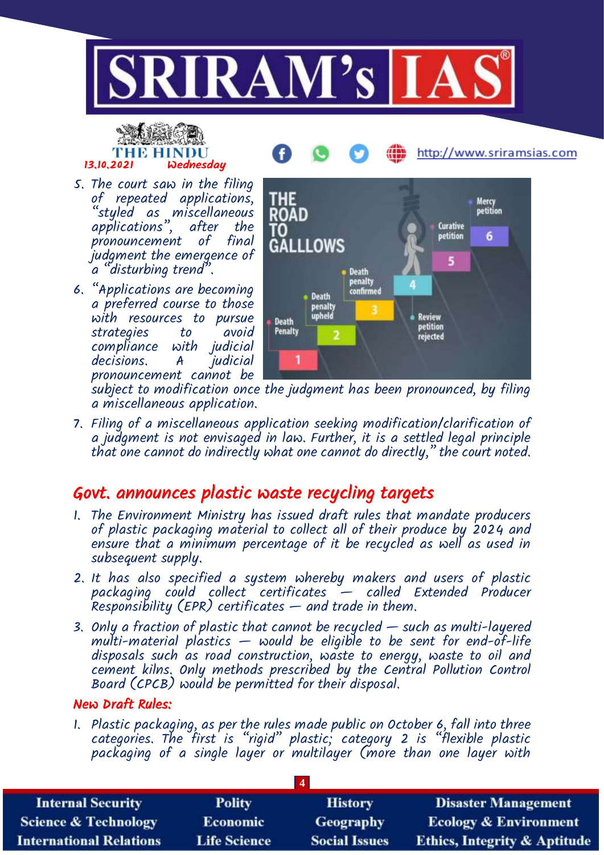

## THE HINDU 13.10.2021 Wednesday

- 5. The court saw in the filing of repeated applications, "styled as miscellaneous applications", after the pronouncement of final judgment the emergence of a "disturbing trend".
- 6. "Applications are becoming a preferred course to those with resources to pursue strategies to avoid compliance with judicial decisions. A pronouncement cannot be



http://www.sriramsias.com

subject to modification once the judgment has been pronounced, by filing a miscellaneous application.

7. Filing of a miscellaneous application seeking modification/clarification of a judgment is not envisaged in law. Further, it is a settled legal principle that one cannot do indirectly what one cannot do directly," the court noted.

#### Govt. announces plastic waste recycling targets

- 1. The Environment Ministry has issued draft rules that mandate producers of plastic packaging material to collect all of their produce by 2024 and ensure that a minimum percentage of it be recycled as well as used in subsequent supply.
- 2. It has also specified a system whereby makers and users of plastic packaging could collect certificates — called Extended Producer Responsibility (EPR) certificates — and trade in them.
- 3. Only a fraction of plastic that cannot be recycled such as multi-layered  $multi-material$  plastics  $-$  would be eligible to be sent for end-of-life disposals such as road construction, waste to energy, waste to oil and cement kilns. Only methods prescribed by the Central Pollution Control Board (CPCB) would be permitted for their disposal.

#### New Draft Rules:

1. Plastic packaging, as per the rules made public on October 6, fall into three categories. The first is "rigid" plastic; category 2 is "flexible plastic packaging of a single layer or multilayer (more than one layer with

| <b>Internal Security</b>        | <b>Polity</b>       | <b>History</b>       | <b>Disaster Management</b>              |
|---------------------------------|---------------------|----------------------|-----------------------------------------|
| <b>Science &amp; Technology</b> | <b>Economic</b>     | <b>Geography</b>     | <b>Ecology &amp; Environment</b>        |
| <b>International Relations</b>  | <b>Life Science</b> | <b>Social Issues</b> | <b>Ethics, Integrity &amp; Aptitude</b> |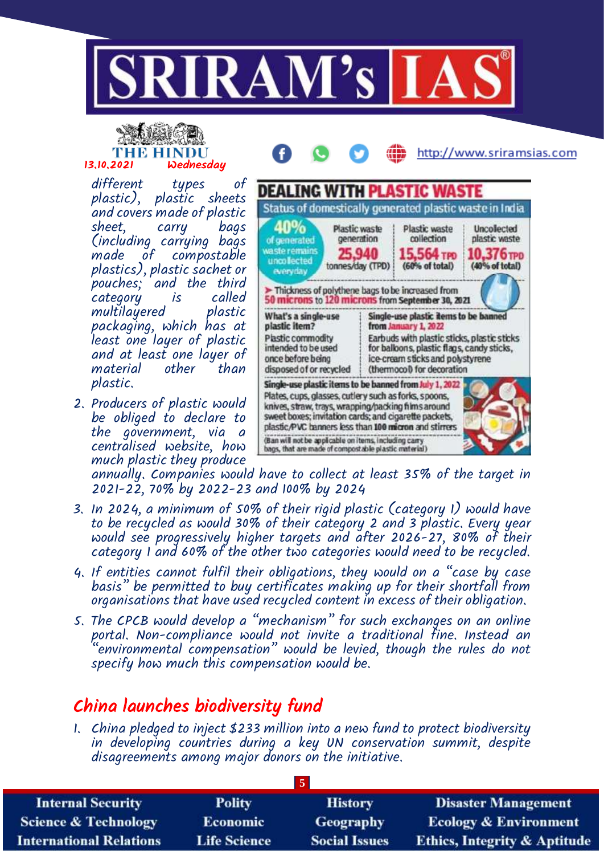

# 13.10.2021 Wednesday

different types of plastic), plastic sheets and covers made of plastic sheet, carry bags

(including carrying bags made of compostable plastics), plastic sachet or pouches; and the third category is called multilayered plastic packaging, which has at least one layer of plastic and at least one layer of material other than plastic.

2. Producers of plastic would be obliged to declare to the government, via a centralised website, how much plastic they produce



annually. Companies would have to collect at least 35% of the target in 2021-22, 70% by 2022-23 and 100% by 2024

- 3. In 2024, a minimum of 50% of their rigid plastic (category 1) would have to be recycled as would 30% of their category 2 and 3 plastic. Every year would see progressively higher targets and after 2026-27, 80% of their category 1 and 60% of the other two categories would need to be recycled.
- 4. If entities cannot fulfil their obligations, they would on a "case by case basis" be permitted to buy certificates making up for their shortfall from organisations that have used recycled content in excess of their obligation.
- 5. The CPCB would develop a "mechanism" for such exchanges on an online portal. Non-compliance would not invite a traditional fine. Instead an "environmental compensation" would be levied, though the rules do not specify how much this compensation would be.

### China launches biodiversity fund

1. China pledged to inject \$233 million into a new fund to protect biodiversity in developing countries during a key UN conservation summit, despite disagreements among major donors on the initiative.

| <b>Internal Security</b>        | <b>Polity</b>       | <b>History</b>       | <b>Disaster Management</b>              |  |
|---------------------------------|---------------------|----------------------|-----------------------------------------|--|
| <b>Science &amp; Technology</b> | <b>Economic</b>     | Geography            | <b>Ecology &amp; Environment</b>        |  |
| <b>International Relations</b>  | <b>Life Science</b> | <b>Social Issues</b> | <b>Ethics, Integrity &amp; Aptitude</b> |  |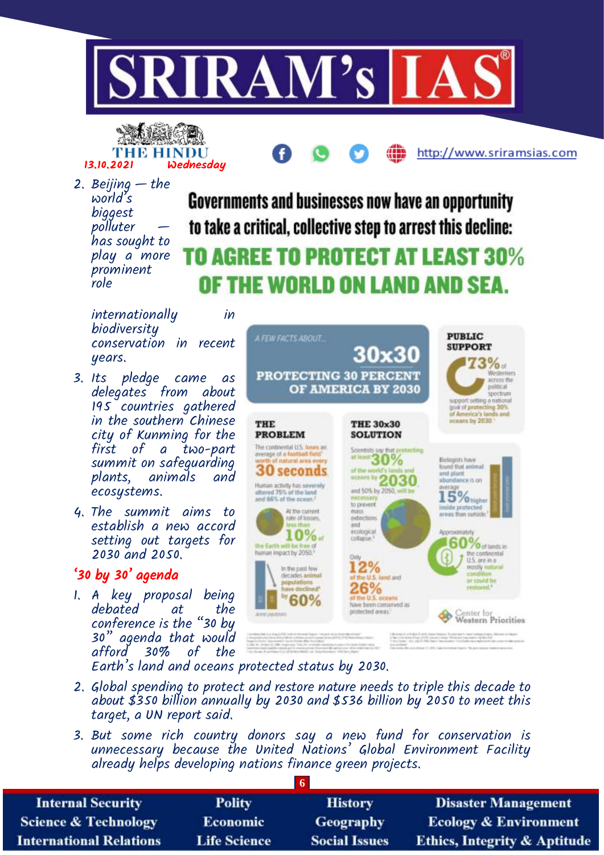

**ANALO** THE HINDU 13.10.2021 Wednesday

2. Beijing  $-$  the world's biggest polluter has sought to play a more prominent role

**Governments and businesses now have an opportunity** to take a critical, collective step to arrest this decline:

ŒĎ

http://www.sriramsias.com

## TO AGREE TO PROTECT AT LEAST 30% OF THE WORLD ON LAND AND SEA.

internationally in biodiversity conservation in recent years.

- 3. Its pledge came as delegates from about 195 countries gathered in the southern Chinese city of Kunming for the first of a two-part summit on safeguarding plants, animals and ecosystems.
- 4. The summit aims to establish a new accord setting out targets for 2030 and 2050.

#### '30 by 30' agenda

1. A key proposal being debated at the conference is the "30 by 30" agenda that would afford 30% of the



- Earth's land and oceans protected status by 2030.
- 2. Global spending to protect and restore nature needs to triple this decade to about  $$350$  billion annually by 2030 and  $$536$  billion by 2050 to meet this target, a UN report said.
- 3. But some rich country donors say a new fund for conservation is unnecessary because the United Nations' Global Environment Facility already helps developing nations finance green projects.

| <b>Internal Security</b>        | <b>Polity</b>       | <b>History</b>       | <b>Disaster Management</b>              |
|---------------------------------|---------------------|----------------------|-----------------------------------------|
| <b>Science &amp; Technology</b> | <b>Economic</b>     | Geography            | <b>Ecology &amp; Environment</b>        |
| <b>International Relations</b>  | <b>Life Science</b> | <b>Social Issues</b> | <b>Ethics, Integrity &amp; Aptitude</b> |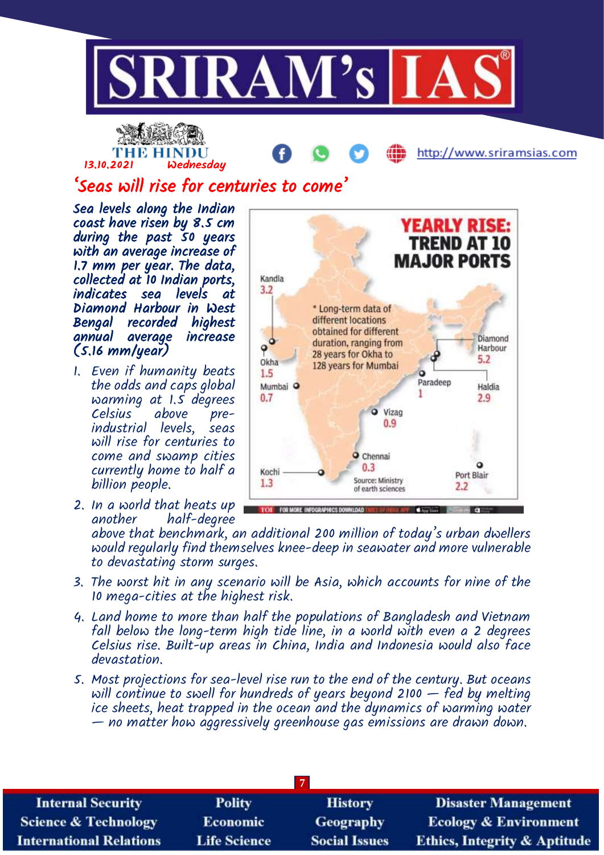

## THE HINDU 13.10.2021 Wednesday

http://www.sriramsias.com

## 'Seas will rise for centuries to come'

Sea levels along the Indian coast have risen by 8.5 cm during the past 50 years with an average increase of 1.7 mm per year. The data, collected at 10 Indian ports, indicates sea levels at Diamond Harbour in West Bengal recorded highest annual average increase (5.16 mm/year)

- 1. Even if humanity beats the odds and caps global warming at 1.5 degrees Celsius above preindustrial levels, seas will rise for centuries to come and swamp cities currently home to half a billion people.
- 2. In a world that heats up another half-degree



above that benchmark, an additional 200 million of today's urban dwellers would regularly find themselves knee-deep in seawater and more vulnerable to devastating storm surges.

- 3. The worst hit in any scenario will be Asia, which accounts for nine of the 10 mega-cities at the highest risk.
- 4. Land home to more than half the populations of Bangladesh and Vietnam fall below the long-term high tide line, in a world with even a 2 degrees Celsius rise. Built-up areas in China, India and Indonesia would also face devastation.
- 5. Most projections for sea-level rise run to the end of the century. But oceans will continue to swell for hundreds of years beyond 2100  $-$  fed by melting ice sheets, heat trapped in the ocean and the dynamics of warming water — no matter how aggressively greenhouse gas emissions are drawn down.

| <b>Internal Security</b>        | <b>Polity</b>       | <b>History</b>       | <b>Disaster Management</b>              |  |
|---------------------------------|---------------------|----------------------|-----------------------------------------|--|
| <b>Science &amp; Technology</b> | <b>Economic</b>     | <b>Geography</b>     | <b>Ecology &amp; Environment</b>        |  |
| <b>International Relations</b>  | <b>Life Science</b> | <b>Social Issues</b> | <b>Ethics, Integrity &amp; Aptitude</b> |  |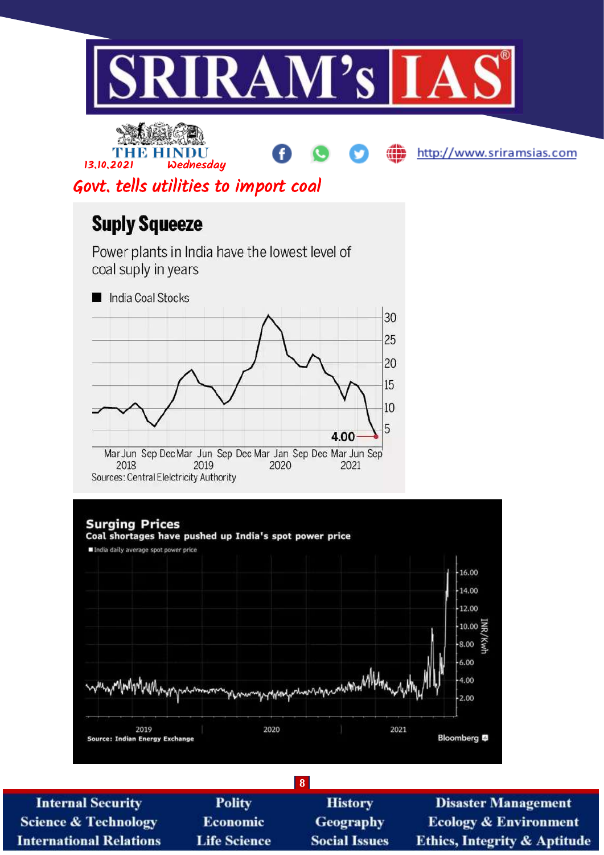

**Internal Security Science & Technology International Relations** 

**Polity Economic Life Science** 

**History Geography Social Issues** 

**Disaster Management Ecology & Environment Ethics, Integrity & Aptitude**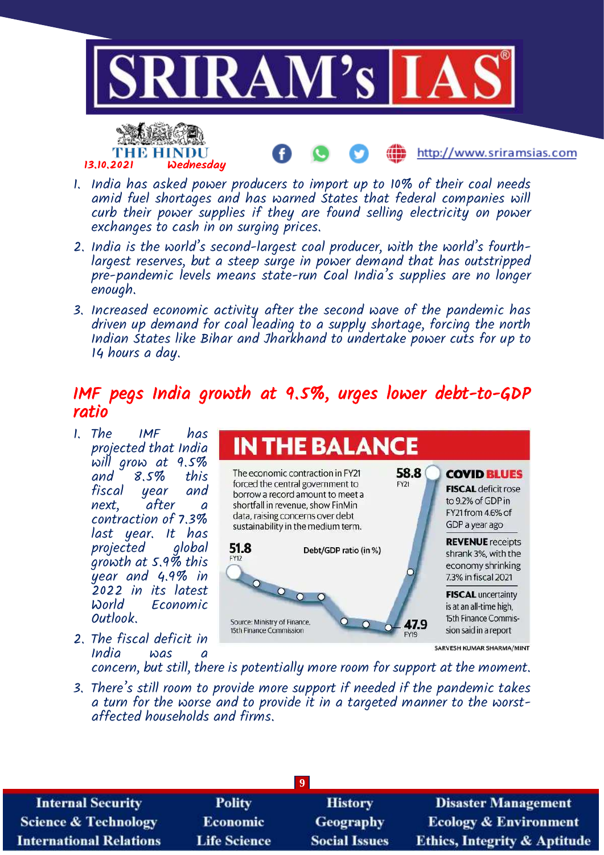

http://www.sriramsias.com

- 1. India has asked power producers to import up to 10% of their coal needs amid fuel shortages and has warned States that federal companies will curb their power supplies if they are found selling electricity on power exchanges to cash in on surging prices.
- 2. India is the world's second-largest coal producer, with the world's fourthlargest reserves, but a steep surge in power demand that has outstripped pre-pandemic levels means state-run Coal India's supplies are no longer enough.
- 3. Increased economic activity after the second wave of the pandemic has driven up demand for coal leading to a supply shortage, forcing the north Indian States like Bihar and Jharkhand to undertake power cuts for up to 14 hours a day.

#### IMF pegs India growth at 9.5%, urges lower debt-to-GDP ratio

1. The IMF has projected that India will grow at 9.5%<br>and 8.5% this  $8.5%$ fiscal year and next, after a contraction of 7.3% last year. It has projected global growth at 5.9% this year and 4.9% in 2022 in its latest Economic Outlook.

13.10.2021 Wednesday

2. The fiscal deficit in  $India$  was

**IN THE BALANCE** 58.8 The economic contraction in FY21 **COVID BLUES** forced the central government to FY21 **FISCAL** deficit rose borrow a record amount to meet a to 9.2% of GDP in shortfall in revenue, show FinMin FY21 from 4.6% of data, raising concerns over debt GDP a year ago sustainability in the medium term. **REVENUE** receipts 51.8 Debt/GDP ratio (in %) shrank 3%, with the economy shrinking 7.3% in fiscal 2021  $\circ$ **FISCAL** uncertainty  $\Omega$ is at an all-time high, 15th Finance Commis-Source: Ministry of Finance. 47.9  $\Omega$ 15th Finance Commission sion said in a report SARVESH KUMAR SHARMA/MINT

concern, but still, there is potentially more room for support at the moment.

3. There's still room to provide more support if needed if the pandemic takes a turn for the worse and to provide it in a targeted manner to the worstaffected households and firms.

| <b>Internal Security</b>        | <b>Polity</b>       | <b>History</b>       | <b>Disaster Management</b>              |
|---------------------------------|---------------------|----------------------|-----------------------------------------|
| <b>Science &amp; Technology</b> | <b>Economic</b>     | Geography            | <b>Ecology &amp; Environment</b>        |
| <b>International Relations</b>  | <b>Life Science</b> | <b>Social Issues</b> | <b>Ethics, Integrity &amp; Aptitude</b> |